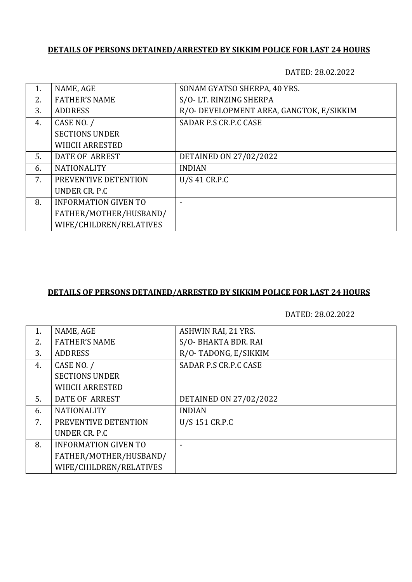## **DETAILS OF PERSONS DETAINED/ARRESTED BY SIKKIM POLICE FOR LAST 24 HOURS**

DATED: 28.02.2022

| 1. | NAME, AGE                   | SONAM GYATSO SHERPA, 40 YRS.             |
|----|-----------------------------|------------------------------------------|
| 2. | <b>FATHER'S NAME</b>        | S/O-LT. RINZING SHERPA                   |
| 3. | <b>ADDRESS</b>              | R/O- DEVELOPMENT AREA, GANGTOK, E/SIKKIM |
| 4. | CASE NO. /                  | SADAR P.S CR.P.C CASE                    |
|    | <b>SECTIONS UNDER</b>       |                                          |
|    | <b>WHICH ARRESTED</b>       |                                          |
| 5. | DATE OF ARREST              | DETAINED ON 27/02/2022                   |
| 6. | <b>NATIONALITY</b>          | <b>INDIAN</b>                            |
| 7. | PREVENTIVE DETENTION        | U/S 41 CR.P.C                            |
|    | UNDER CR. P.C.              |                                          |
| 8. | <b>INFORMATION GIVEN TO</b> |                                          |
|    | FATHER/MOTHER/HUSBAND/      |                                          |
|    | WIFE/CHILDREN/RELATIVES     |                                          |

### **DETAILS OF PERSONS DETAINED/ARRESTED BY SIKKIM POLICE FOR LAST 24 HOURS**

DATED: 28.02.2022

| 1. | NAME, AGE                   | ASHWIN RAI, 21 YRS.    |
|----|-----------------------------|------------------------|
| 2. | <b>FATHER'S NAME</b>        | S/O-BHAKTA BDR. RAI    |
| 3. | <b>ADDRESS</b>              | R/O-TADONG, E/SIKKIM   |
| 4. | CASE NO. /                  | SADAR P.S CR.P.C CASE  |
|    | <b>SECTIONS UNDER</b>       |                        |
|    | <b>WHICH ARRESTED</b>       |                        |
| 5. | DATE OF ARREST              | DETAINED ON 27/02/2022 |
| 6. | <b>NATIONALITY</b>          | <b>INDIAN</b>          |
| 7. | PREVENTIVE DETENTION        | U/S 151 CR.P.C         |
|    | UNDER CR. P.C.              |                        |
| 8. | <b>INFORMATION GIVEN TO</b> |                        |
|    | FATHER/MOTHER/HUSBAND/      |                        |
|    | WIFE/CHILDREN/RELATIVES     |                        |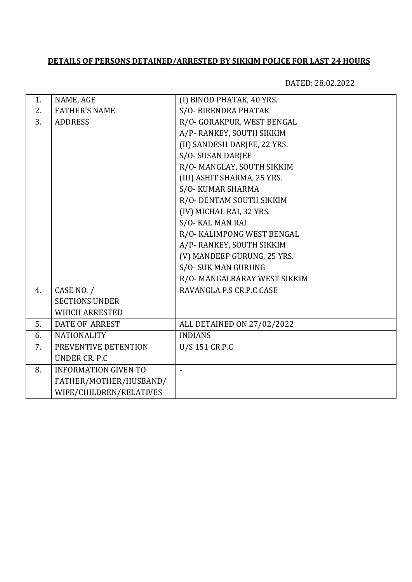# **DETAILS OF PERSONS DETAINED/ARRESTED BY SIKKIM POLICE FOR LAST 24 HOURS**

DATED: 28.02.2022

| 1. | NAME, AGE                   | (I) BINOD PHATAK, 40 YRS.    |
|----|-----------------------------|------------------------------|
| 2. | <b>FATHER'S NAME</b>        | S/O-BIRENDRA PHATAK          |
| 3. | <b>ADDRESS</b>              | R/O- GORAKPUR, WEST BENGAL   |
|    |                             | A/P-RANKEY, SOUTH SIKKIM     |
|    |                             | (II) SANDESH DARJEE, 22 YRS. |
|    |                             | S/O-SUSAN DARJEE             |
|    |                             | R/O- MANGLAY, SOUTH SIKKIM   |
|    |                             | (III) ASHIT SHARMA, 25 YRS.  |
|    |                             | S/O-KUMAR SHARMA             |
|    |                             | R/O- DENTAM SOUTH SIKKIM     |
|    |                             | (IV) MICHAL RAI, 32 YRS.     |
|    |                             | S/O- KAL MAN RAI             |
|    |                             | R/O- KALIMPONG WEST BENGAL   |
|    |                             | A/P- RANKEY, SOUTH SIKKIM    |
|    |                             | (V) MANDEEP GURUNG, 25 YRS.  |
|    |                             | S/O-SUK MAN GURUNG           |
|    |                             | R/O- MANGALBARAY WEST SIKKIM |
| 4. | CASE NO. /                  | RAVANGLA P.S CR.P.C CASE     |
|    | <b>SECTIONS UNDER</b>       |                              |
|    | <b>WHICH ARRESTED</b>       |                              |
| 5. | <b>DATE OF ARREST</b>       | ALL DETAINED ON 27/02/2022   |
| 6. | <b>NATIONALITY</b>          | <b>INDIANS</b>               |
| 7. | PREVENTIVE DETENTION        | U/S 151 CR.P.C               |
|    | <b>UNDER CR. P.C</b>        |                              |
| 8. | <b>INFORMATION GIVEN TO</b> |                              |
|    | FATHER/MOTHER/HUSBAND/      |                              |
|    | WIFE/CHILDREN/RELATIVES     |                              |